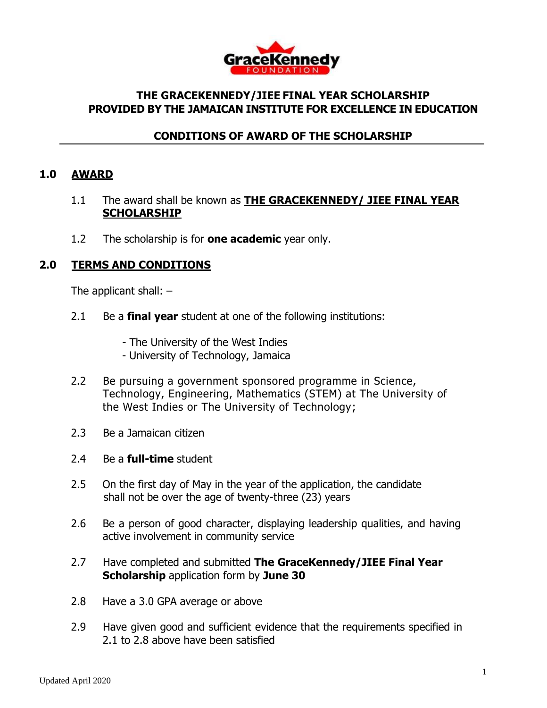

### **THE GRACEKENNEDY/JIEE FINAL YEAR SCHOLARSHIP PROVIDED BY THE JAMAICAN INSTITUTE FOR EXCELLENCE IN EDUCATION**

## **CONDITIONS OF AWARD OF THE SCHOLARSHIP**

#### **1.0 AWARD**

- 1.1 The award shall be known as **THE GRACEKENNEDY/ JIEE FINAL YEAR SCHOLARSHIP**
- 1.2 The scholarship is for **one academic** year only.

### **2.0 TERMS AND CONDITIONS**

The applicant shall:  $-$ 

- 2.1 Be a **final year** student at one of the following institutions:
	- The University of the West Indies
	- University of Technology, Jamaica
- 2.2 Be pursuing a government sponsored programme in Science, Technology, Engineering, Mathematics (STEM) at The University of the West Indies or The University of Technology;
- 2.3 Be a Jamaican citizen
- 2.4 Be a **full-time** student
- 2.5 On the first day of May in the year of the application, the candidate shall not be over the age of twenty-three (23) years
- 2.6 Be a person of good character, displaying leadership qualities, and having active involvement in community service
- 2.7 Have completed and submitted **The GraceKennedy/JIEE Final Year Scholarship** application form by **June 30**
- 2.8 Have a 3.0 GPA average or above
- 2.9 Have given good and sufficient evidence that the requirements specified in 2.1 to 2.8 above have been satisfied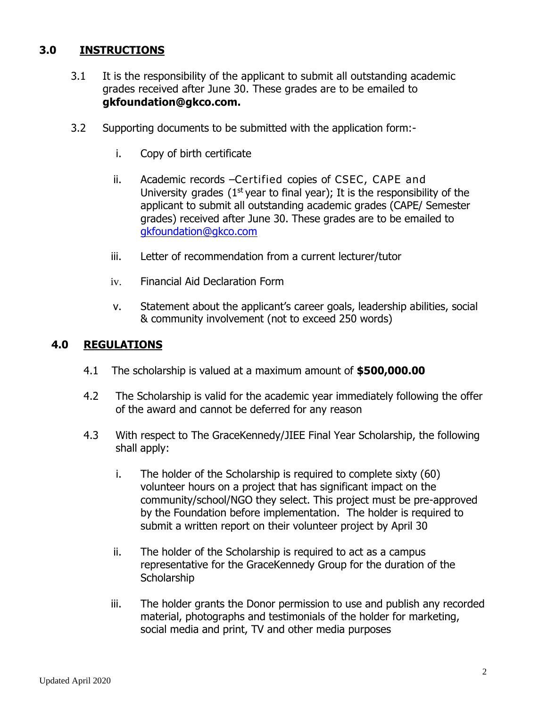# **3.0 INSTRUCTIONS**

- 3.1 It is the responsibility of the applicant to submit all outstanding academic grades received after June 30. These grades are to be emailed to **gkfoundation@gkco.com.**
- 3.2 Supporting documents to be submitted with the application form:
	- i. Copy of birth certificate
	- ii. Academic records –Certified copies of CSEC, CAPE and University grades  $(1<sup>st</sup>$  year to final year); It is the responsibility of the applicant to submit all outstanding academic grades (CAPE/ Semester grades) received after June 30. These grades are to be emailed to [gkfoundation@gkco.com](mailto:gkfoundation@gkco.com)
	- iii. Letter of recommendation from a current lecturer/tutor
	- iv. Financial Aid Declaration Form
	- v. Statement about the applicant's career goals, leadership abilities, social & community involvement (not to exceed 250 words)

#### **4.0 REGULATIONS**

- 4.1 The scholarship is valued at a maximum amount of **\$500,000.00**
- 4.2 The Scholarship is valid for the academic year immediately following the offer of the award and cannot be deferred for any reason
- 4.3 With respect to The GraceKennedy/JIEE Final Year Scholarship, the following shall apply:
	- i. The holder of the Scholarship is required to complete sixty (60) volunteer hours on a project that has significant impact on the community/school/NGO they select. This project must be pre-approved by the Foundation before implementation. The holder is required to submit a written report on their volunteer project by April 30
	- ii. The holder of the Scholarship is required to act as a campus representative for the GraceKennedy Group for the duration of the **Scholarship**
	- iii. The holder grants the Donor permission to use and publish any recorded material, photographs and testimonials of the holder for marketing, social media and print, TV and other media purposes